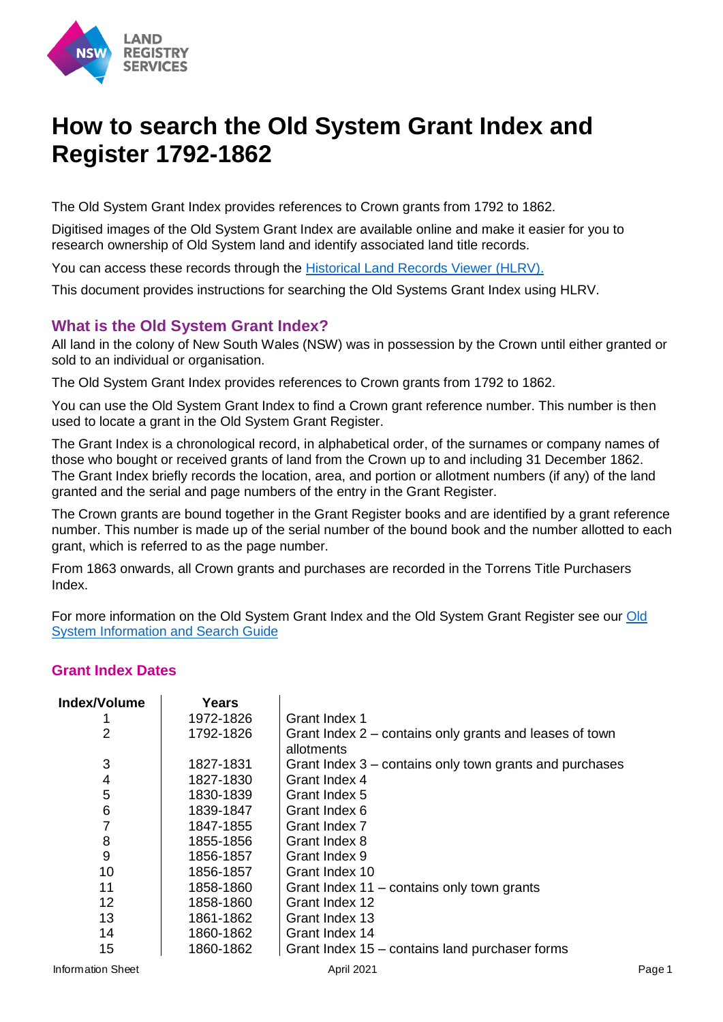

# **How to search the Old System Grant Index and Register 1792-1862**

The Old System Grant Index provides references to Crown grants from 1792 to 1862.

Digitised images of the Old System Grant Index are available online and make it easier for you to research ownership of Old System land and identify associated land title records.

You can access these records through the [Historical Land Records Viewer \(HLRV\).](http://hlrv.nswlrs.com.au/)

This document provides instructions for searching the Old Systems Grant Index using HLRV.

## **What is the Old System Grant Index?**

All land in the colony of New South Wales (NSW) was in possession by the Crown until either granted or sold to an individual or organisation.

The Old System Grant Index provides references to Crown grants from 1792 to 1862.

You can use the Old System Grant Index to find a Crown grant reference number. This number is then used to locate a grant in the Old System Grant Register.

The Grant Index is a chronological record, in alphabetical order, of the surnames or company names of those who bought or received grants of land from the Crown up to and including 31 December 1862. The Grant Index briefly records the location, area, and portion or allotment numbers (if any) of the land granted and the serial and page numbers of the entry in the Grant Register.

The Crown grants are bound together in the Grant Register books and are identified by a grant reference number. This number is made up of the serial number of the bound book and the number allotted to each grant, which is referred to as the page number.

From 1863 onwards, all Crown grants and purchases are recorded in the Torrens Title Purchasers Index.

For more information on the Old System Grant Index and the Old System Grant Register see our [Old](https://www.nswlrs.com.au/getattachment/515c97fd-d3f0-4020-a394-69aaffb6a72f/attachment.aspx)  [System Information and Search Guide](https://www.nswlrs.com.au/getattachment/515c97fd-d3f0-4020-a394-69aaffb6a72f/attachment.aspx)

#### **Grant Index Dates**

| Index/Volume   | <b>Years</b> |                                                         |
|----------------|--------------|---------------------------------------------------------|
|                | 1972-1826    | Grant Index 1                                           |
| $\overline{2}$ | 1792-1826    | Grant Index 2 – contains only grants and leases of town |
|                |              | allotments                                              |
| 3              | 1827-1831    | Grant Index 3 – contains only town grants and purchases |
| 4              | 1827-1830    | Grant Index 4                                           |
| 5              | 1830-1839    | Grant Index 5                                           |
| 6              | 1839-1847    | Grant Index 6                                           |
| 7              | 1847-1855    | Grant Index 7                                           |
| 8              | 1855-1856    | Grant Index 8                                           |
| 9              | 1856-1857    | Grant Index 9                                           |
| 10             | 1856-1857    | Grant Index 10                                          |
| 11             | 1858-1860    | Grant Index 11 – contains only town grants              |
| 12             | 1858-1860    | Grant Index 12                                          |
| 13             | 1861-1862    | Grant Index 13                                          |
| 14             | 1860-1862    | Grant Index 14                                          |
| 15             | 1860-1862    | Grant Index 15 – contains land purchaser forms          |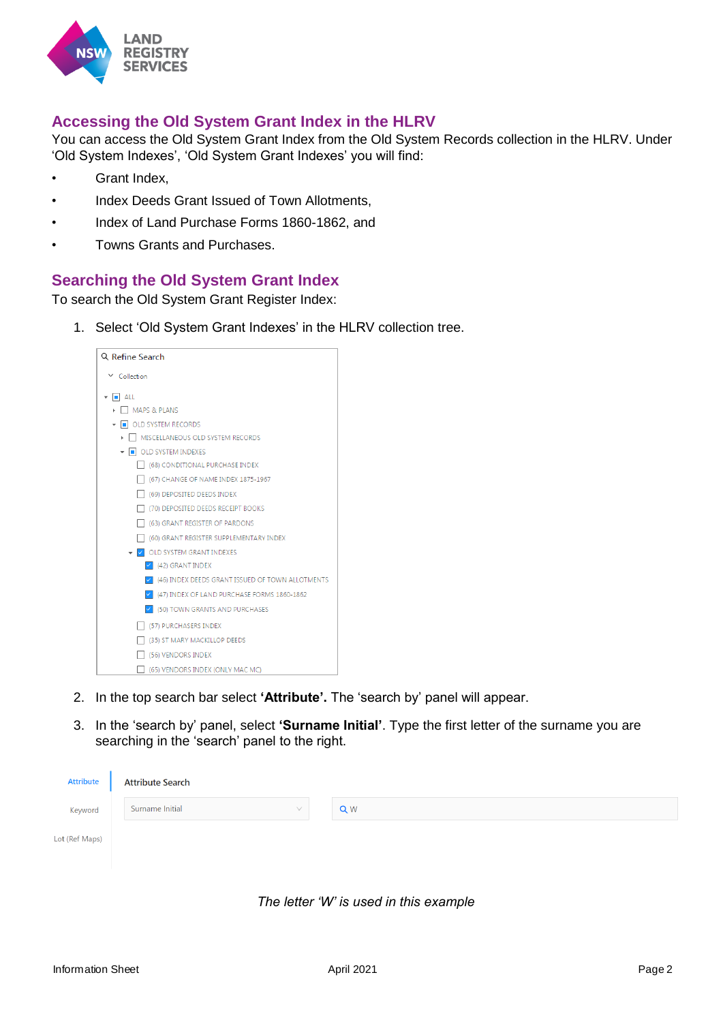

# **Accessing the Old System Grant Index in the HLRV**

You can access the Old System Grant Index from the Old System Records collection in the HLRV. Under 'Old System Indexes', 'Old System Grant Indexes' you will find:

- Grant Index,
- Index Deeds Grant Issued of Town Allotments,
- Index of Land Purchase Forms 1860-1862, and
- Towns Grants and Purchases.

## **Searching the Old System Grant Index**

To search the Old System Grant Register Index:

1. Select 'Old System Grant Indexes' in the HLRV collection tree.



- 2. In the top search bar select **'Attribute'.** The 'search by' panel will appear.
- 3. In the 'search by' panel, select **'Surname Initial'**. Type the first letter of the surname you are searching in the 'search' panel to the right.

| <b>Attribute</b> | <b>Attribute Search</b>      |    |
|------------------|------------------------------|----|
| Keyword          | Surname Initial<br>$\sqrt{}$ | QW |
| Lot (Ref Maps)   |                              |    |
|                  |                              |    |



 $\mathbf{I}$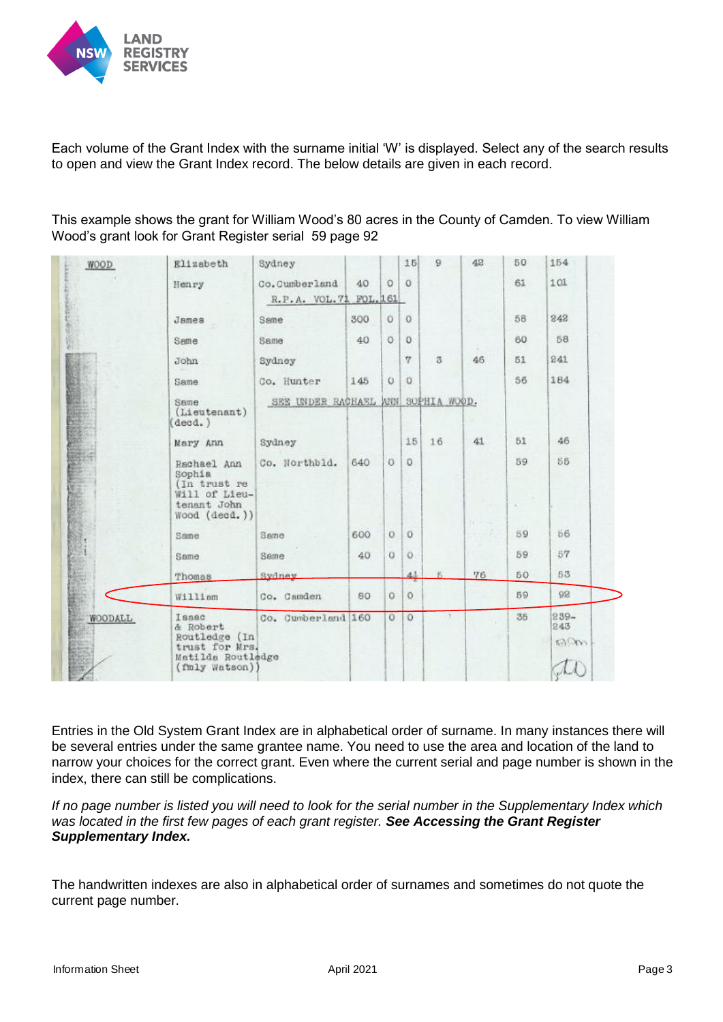

Each volume of the Grant Index with the surname initial 'W' is displayed. Select any of the search results to open and view the Grant Index record. The below details are given in each record.

This example shows the grant for William Wood's 80 acres in the County of Camden. To view William Wood's grant look for Grant Register serial 59 page 92

| WOOD    | <b>Elizabeth</b>                                                                            | Sydney                             |                |          | 15             | 9             | 42        | 50           | 154                         |  |
|---------|---------------------------------------------------------------------------------------------|------------------------------------|----------------|----------|----------------|---------------|-----------|--------------|-----------------------------|--|
|         | Henry                                                                                       | Co.Cumberland<br>R.P.A. VOL.71     | 40<br>FOL. 161 | $\Omega$ | $\mathbf{O}$   |               |           | 61           | 101                         |  |
|         | James                                                                                       | Same                               | 300            | $\circ$  | $\Omega$       |               |           | 58           | 242                         |  |
|         | Same                                                                                        | Same                               | 40             | Ö        | $\circ$        |               |           | 60           | 58                          |  |
|         | John                                                                                        | Sydney                             |                |          | 7              | 3             | 46        | 51           | 241                         |  |
|         | Same                                                                                        | Co. Hunter                         | 145            | $\circ$  | O.             |               |           | 56           | 184                         |  |
|         | Same<br>(Lieutenant)<br>decd.)                                                              | SEE UNDER RACHAEL ANN SOPHIA WOOD. |                |          |                |               |           |              |                             |  |
|         | Mary Ann                                                                                    | Sydney                             |                |          | 15             | 16            | 41        | 51           | 46                          |  |
|         | Rachael Ann<br>Sophia<br>(In trust re<br>Will of Lieu-<br>tenant John<br>Wood (decd.))      | Co. Northbld.                      | 640            | $\circ$  | $\overline{O}$ |               | $(1 - 1)$ | 59<br>$\sim$ | 56                          |  |
|         | Same.                                                                                       | Same                               | 600            | $\circ$  | $\Omega$       |               |           | 59           | 56                          |  |
|         | Same.                                                                                       | Same                               | 40             | $\alpha$ | $\circ$        |               |           | 59           | 57                          |  |
|         | Thomas                                                                                      | Sydney                             |                |          | 41             |               | 76        | 50           | 53                          |  |
|         | William                                                                                     | Co. Camden                         | 80             | $\circ$  | O              |               |           | 59           | 92                          |  |
| WOODALL | Issac<br>& Robert<br>Routledge (In<br>trust for Mrs.<br>Matilda Routledge<br>(fmly Watson)) | Co. Cumberland 160                 |                | $\circ$  | $\circ$        | $\mathcal{X}$ |           | 35           | $239 -$<br>243<br><b>GO</b> |  |

Entries in the Old System Grant Index are in alphabetical order of surname. In many instances there will be several entries under the same grantee name. You need to use the area and location of the land to narrow your choices for the correct grant. Even where the current serial and page number is shown in the index, there can still be complications.

*If no page number is listed you will need to look for the serial number in the Supplementary Index which was located in the first few pages of each grant register. See Accessing the Grant Register Supplementary Index.* 

The handwritten indexes are also in alphabetical order of surnames and sometimes do not quote the current page number.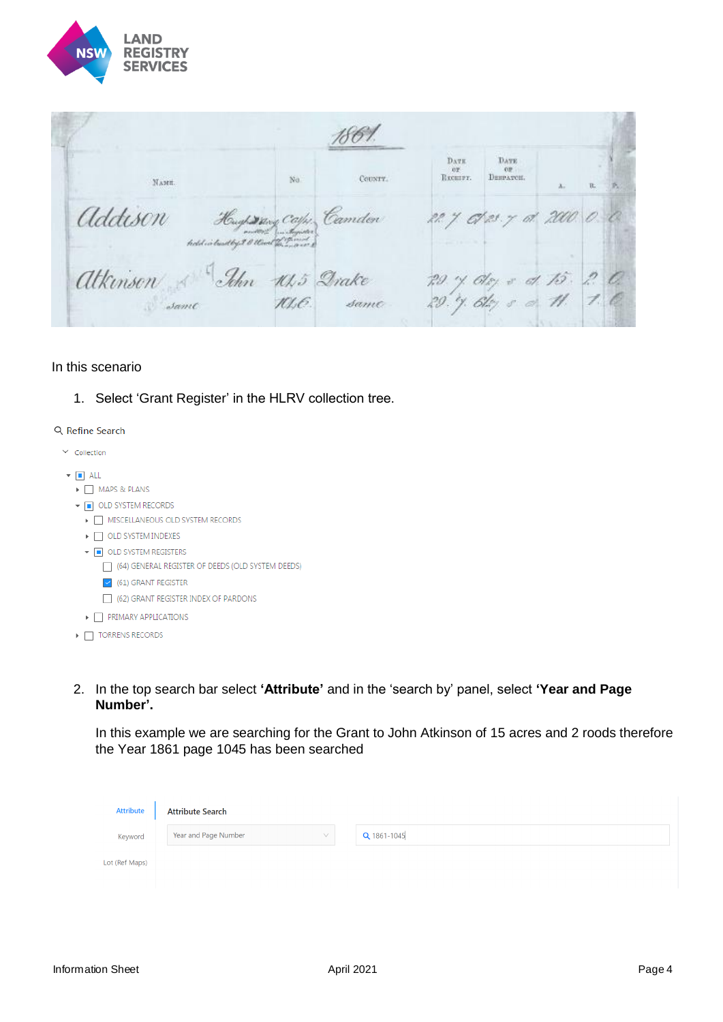

1861. **DATE** DATE **COM** RECHIPT. **DESPATCH.**  $N<sub>0</sub>$ County. Хами. Addison Hupson Camder 22 7 0123.7<br>Minison & John 10,5 Drake 29.7 0121.7<br>Atkinson & John 10,5 Drake 29.7 012 5 22. 7 C/23. 7 ot 2000.  $\varepsilon\!$ 

#### In this scenario

1. Select 'Grant Register' in the HLRV collection tree.

#### Q Refine Search

- $\vee$  Collection
- $\bullet$  **n** ALL
	- ▶ MAPS & PLANS
	- ▼ OLD SYSTEM RECORDS
		- > MISCELLANEOUS OLD SYSTEM RECORDS
		- $\triangleright$   $\Box$  OLD SYSTEM INDEXES
		- ▼ OLD SYSTEM REGISTERS
			- (64) GENERAL REGISTER OF DEEDS (OLD SYSTEM DEEDS)
			- $\vee$  (61) GRANT REGISTER
			- (62) GRANT REGISTER INDEX OF PARDONS
	- $\blacktriangleright \ \ \bigsqcup \ \ \textsf{PRIMARY APPLICATIONS}$
	- $\triangleright$   $\Box$  TORRENS RECORDS
- 2. In the top search bar select **'Attribute'** and in the 'search by' panel, select **'Year and Page Number'.**

In this example we are searching for the Grant to John Atkinson of 15 acres and 2 roods therefore the Year 1861 page 1045 has been searched

| <b>Attribute</b> | <b>Attribute Search</b>        |             |
|------------------|--------------------------------|-------------|
| Keyword          | Year and Page Number<br>$\vee$ | Q 1861-1045 |
| Lot (Ref Maps)   |                                |             |
|                  |                                |             |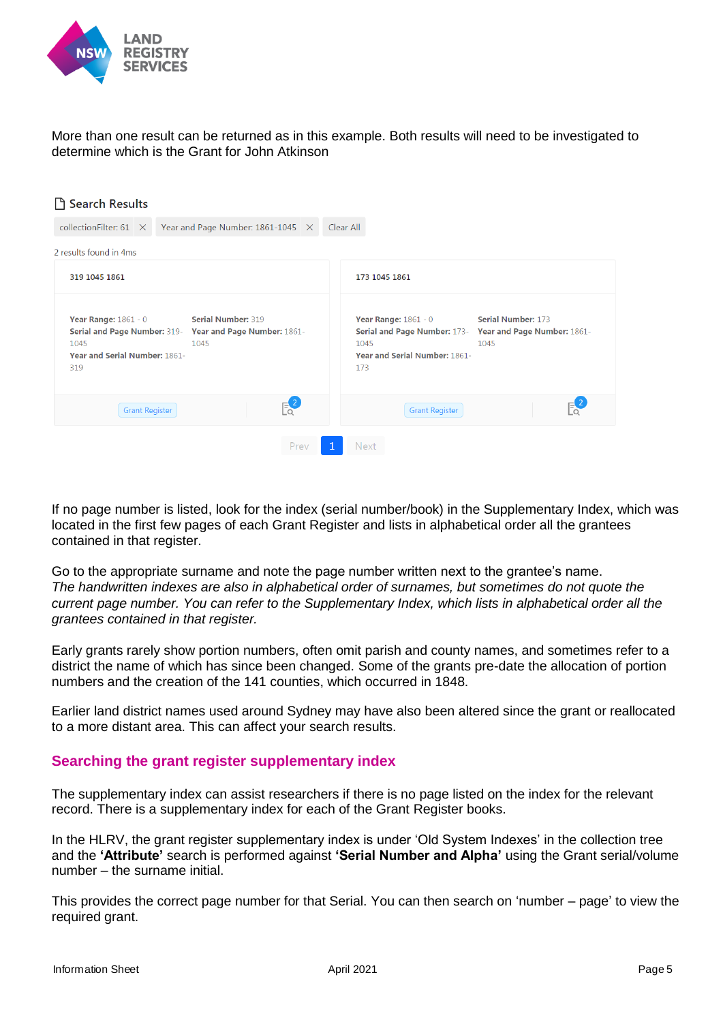

More than one result can be returned as in this example. Both results will need to be investigated to determine which is the Grant for John Atkinson

| □ Search Results                                                                                                                                                                       |                                                                                                                                                                                 |
|----------------------------------------------------------------------------------------------------------------------------------------------------------------------------------------|---------------------------------------------------------------------------------------------------------------------------------------------------------------------------------|
| Year and Page Number: 1861-1045 X<br>collection Filter: $61 \times$                                                                                                                    | Clear All                                                                                                                                                                       |
| 2 results found in 4ms                                                                                                                                                                 |                                                                                                                                                                                 |
| 319 1045 1861                                                                                                                                                                          | 173 1045 1861                                                                                                                                                                   |
| <b>Serial Number: 319</b><br><b>Year Range: 1861 - 0</b><br><b>Serial and Page Number: 319-</b><br>Year and Page Number: 1861-<br>1045<br>1045<br>Year and Serial Number: 1861-<br>319 | <b>Year Range: 1861 - 0</b><br><b>Serial Number: 173</b><br>Serial and Page Number: 173-<br>Year and Page Number: 1861-<br>1045<br>1045<br>Year and Serial Number: 1861-<br>173 |
| $E_2^2$<br><b>Grant Register</b>                                                                                                                                                       | <b>Grant Register</b>                                                                                                                                                           |
| Prev<br>1                                                                                                                                                                              | <b>Next</b>                                                                                                                                                                     |

If no page number is listed, look for the index (serial number/book) in the Supplementary Index, which was located in the first few pages of each Grant Register and lists in alphabetical order all the grantees contained in that register.

Go to the appropriate surname and note the page number written next to the grantee's name. *The handwritten indexes are also in alphabetical order of surnames, but sometimes do not quote the current page number. You can refer to the Supplementary Index, which lists in alphabetical order all the grantees contained in that register.* 

Early grants rarely show portion numbers, often omit parish and county names, and sometimes refer to a district the name of which has since been changed. Some of the grants pre-date the allocation of portion numbers and the creation of the 141 counties, which occurred in 1848.

Earlier land district names used around Sydney may have also been altered since the grant or reallocated to a more distant area. This can affect your search results.

#### **Searching the grant register supplementary index**

The supplementary index can assist researchers if there is no page listed on the index for the relevant record. There is a supplementary index for each of the Grant Register books.

In the HLRV, the grant register supplementary index is under 'Old System Indexes' in the collection tree and the **'Attribute'** search is performed against **'Serial Number and Alpha'** using the Grant serial/volume number – the surname initial.

This provides the correct page number for that Serial. You can then search on 'number – page' to view the required grant.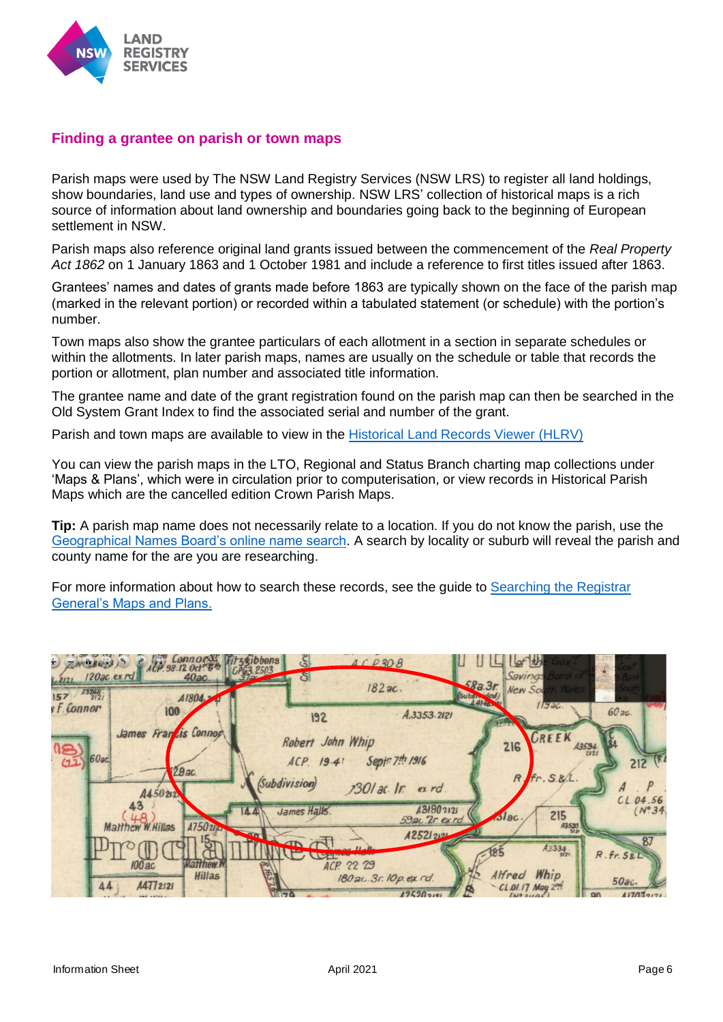

#### **Finding a grantee on parish or town maps**

Parish maps were used by The NSW Land Registry Services (NSW LRS) to register all land holdings, show boundaries, land use and types of ownership. NSW LRS' collection of historical maps is a rich source of information about land ownership and boundaries going back to the beginning of European settlement in NSW.

Parish maps also reference original land grants issued between the commencement of the *Real Property Act 1862* on 1 January 1863 and 1 October 1981 and include a reference to first titles issued after 1863.

Grantees' names and dates of grants made before 1863 are typically shown on the face of the parish map (marked in the relevant portion) or recorded within a tabulated statement (or schedule) with the portion's number.

Town maps also show the grantee particulars of each allotment in a section in separate schedules or within the allotments. In later parish maps, names are usually on the schedule or table that records the portion or allotment, plan number and associated title information.

The grantee name and date of the grant registration found on the parish map can then be searched in the Old System Grant Index to find the associated serial and number of the grant.

Parish and town maps are available to view in the [Historical Land Records Viewer \(HLRV\)](http://hlrv.nswlrs.com.au/) 

You can view the parish maps in the LTO, Regional and Status Branch charting map collections under 'Maps & Plans', which were in circulation prior to computerisation, or view records in Historical Parish Maps which are the cancelled edition Crown Parish Maps.

**Tip:** A parish map name does not necessarily relate to a location. If you do not know the parish, use the [Geographical Names Board's online name search.](http://www.gnb.nsw.gov.au/) A search by locality or suburb will reveal the parish and county name for the are you are researching.

For more information about how to search these records, see the guide to Searching the Registrar [General's Maps and Plans.](https://www.nswlrs.com.au/getattachment/99aaebb8-d53d-40b1-a18c-2d2fff6c3c2f/attachment.aspx)

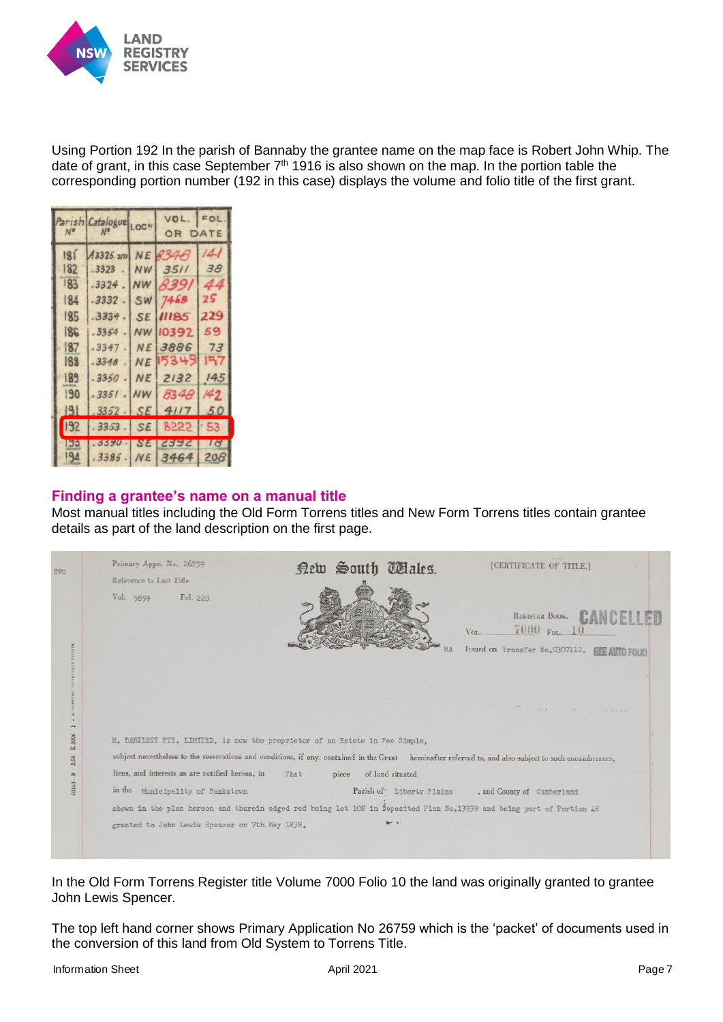

Using Portion 192 In the parish of Bannaby the grantee name on the map face is Robert John Whip. The date of grant, in this case September  $7<sup>th</sup>$  1916 is also shown on the map. In the portion table the corresponding portion number (192 in this case) displays the volume and folio title of the first grant.

| Nº  | arish Catalogue LOCN |           | VOL.<br>OR DATE | FOL       |
|-----|----------------------|-----------|-----------------|-----------|
| 181 | A3325.212            |           | NE 8348         | 141       |
| 182 | .3323                | <b>NW</b> | 3511            | 38        |
| 183 | .3324                | <b>NW</b> | 8391            | 44        |
| 184 | .3332                | SW        | 7468            | 25        |
| 185 | .3334                | <b>SE</b> | 11185           | 229       |
| 186 | .3354                | NW        | 10392           | 59        |
| 187 | .3347                | <b>NE</b> | 3886            | 73        |
| 188 | .3348                | NE        | 5349            | 157       |
| 189 | .3350                | <b>NE</b> | 2132            | 145       |
| 190 | $-3351$              | <b>NW</b> | 8348            | 149       |
| 9   | 3352                 | <b>SE</b> | 4117            | 50        |
| 192 | 3353                 | <b>SE</b> | 8555            | 53        |
| 195 | .3390                | <b>SE</b> | 2392            | $1\sigma$ |
| 194 | .3385.               | <b>NE</b> | 3464            | 208       |

#### **Finding a grantee's name on a manual title**

Most manual titles including the Old Form Torrens titles and New Form Torrens titles contain grantee details as part of the land description on the first page.

| Vol. 5859<br>Fol. 220<br>REGISTER BOOK.<br>7000 For. 10<br>VOL.<br>Issued on Transfer No. G307112.<br>PETTERS,<br>the same to the second company<br>×<br>×<br>$K.2006 - 1$<br>M. BARTIETT PTY. LIMITED, is now the proprietor of an Estate in Fee Simple,<br>subject nevertheless to the reservations and conditions, if any, contained in the Grant hereinafter referred to, and also subject to such encumbrances,<br>2.54<br>liens, and interests as are notified hereon, in<br>That<br>of land situated<br>piece<br>60163-2<br>in the Municipality of Bankstown<br>Parish of Liberty Plains<br>, and County of Cumberland<br>shown in the plan hereon and therein edged red being Lot 108 in Deposited Plan No.13939 and being part of Portion 48 | 202 | Primary Appn. No. 26759<br>Reference to Last Title | New South Wales. | [CERTIFICATE OF TITLE.] |
|-------------------------------------------------------------------------------------------------------------------------------------------------------------------------------------------------------------------------------------------------------------------------------------------------------------------------------------------------------------------------------------------------------------------------------------------------------------------------------------------------------------------------------------------------------------------------------------------------------------------------------------------------------------------------------------------------------------------------------------------------------|-----|----------------------------------------------------|------------------|-------------------------|
|                                                                                                                                                                                                                                                                                                                                                                                                                                                                                                                                                                                                                                                                                                                                                       |     |                                                    |                  |                         |
|                                                                                                                                                                                                                                                                                                                                                                                                                                                                                                                                                                                                                                                                                                                                                       |     |                                                    |                  |                         |
|                                                                                                                                                                                                                                                                                                                                                                                                                                                                                                                                                                                                                                                                                                                                                       |     |                                                    |                  |                         |
|                                                                                                                                                                                                                                                                                                                                                                                                                                                                                                                                                                                                                                                                                                                                                       |     |                                                    |                  |                         |
|                                                                                                                                                                                                                                                                                                                                                                                                                                                                                                                                                                                                                                                                                                                                                       |     |                                                    |                  |                         |
|                                                                                                                                                                                                                                                                                                                                                                                                                                                                                                                                                                                                                                                                                                                                                       |     |                                                    |                  |                         |
|                                                                                                                                                                                                                                                                                                                                                                                                                                                                                                                                                                                                                                                                                                                                                       |     |                                                    |                  |                         |
|                                                                                                                                                                                                                                                                                                                                                                                                                                                                                                                                                                                                                                                                                                                                                       |     | granted to John Lewis Spencer on 7th May 1838.     |                  |                         |

In the Old Form Torrens Register title Volume 7000 Folio 10 the land was originally granted to grantee John Lewis Spencer.

The top left hand corner shows Primary Application No 26759 which is the 'packet' of documents used in the conversion of this land from Old System to Torrens Title.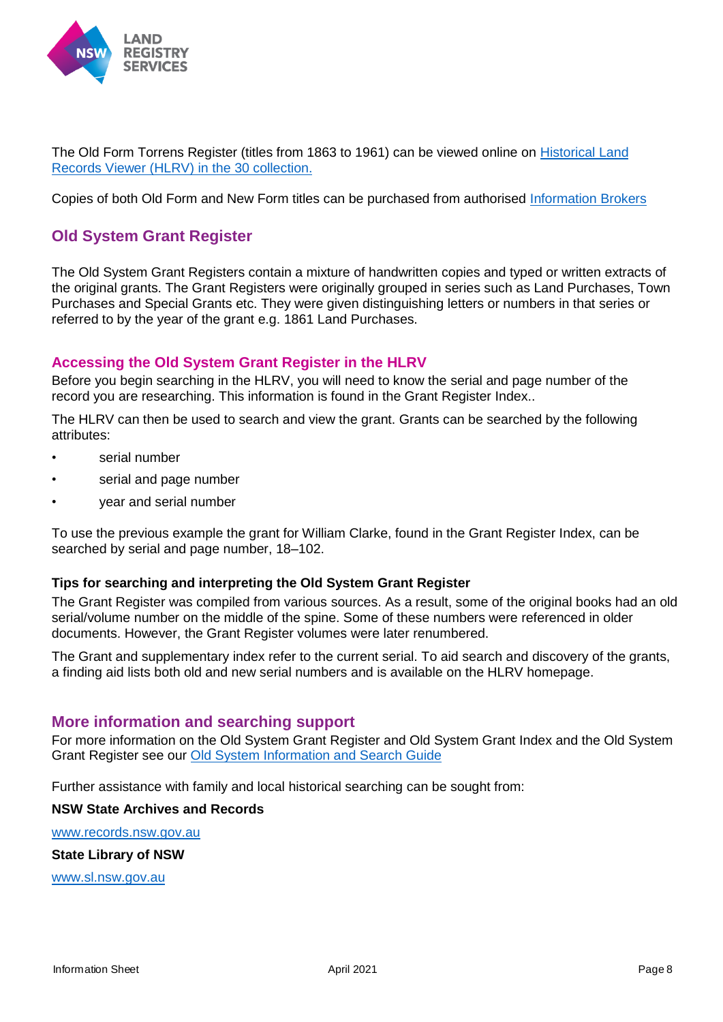

The Old Form Torrens Register (titles from 1863 to 1961) can be viewed online on [Historical Land](http://hlrv.nswlrs.com.au/)  [Records Viewer \(HLRV\)](http://hlrv.nswlrs.com.au/) in the 30 collection.

Copies of both Old Form and New Form titles can be purchased from authorised [Information Brokers](https://www.nswlrs.com.au/Information-Brokers)

#### **Old System Grant Register**

The Old System Grant Registers contain a mixture of handwritten copies and typed or written extracts of the original grants. The Grant Registers were originally grouped in series such as Land Purchases, Town Purchases and Special Grants etc. They were given distinguishing letters or numbers in that series or referred to by the year of the grant e.g. 1861 Land Purchases.

#### **Accessing the Old System Grant Register in the HLRV**

Before you begin searching in the HLRV, you will need to know the serial and page number of the record you are researching. This information is found in the Grant Register Index..

The HLRV can then be used to search and view the grant. Grants can be searched by the following attributes:

- serial number
- serial and page number
- year and serial number

To use the previous example the grant for William Clarke, found in the Grant Register Index, can be searched by serial and page number, 18–102.

#### **Tips for searching and interpreting the Old System Grant Register**

The Grant Register was compiled from various sources. As a result, some of the original books had an old serial/volume number on the middle of the spine. Some of these numbers were referenced in older documents. However, the Grant Register volumes were later renumbered.

The Grant and supplementary index refer to the current serial. To aid search and discovery of the grants, a finding aid lists both old and new serial numbers and is available on the HLRV homepage.

#### **More information and searching support**

For more information on the Old System Grant Register and Old System Grant Index and the Old System Grant Register see our [Old System Information and Search Guide](https://www.nswlrs.com.au/getattachment/515c97fd-d3f0-4020-a394-69aaffb6a72f/attachment.aspx)

Further assistance with family and local historical searching can be sought from:

#### **NSW State Archives and Records**

[www.records.nsw.gov.au](file:///C:/Users/sdyster/AppData/Local/Microsoft/Windows/INetCache/Content.Outlook/8ATPYO6J/www.records.nsw.gov.au)

**State Library of NSW**

[www.sl.nsw.gov.au](file:///C:/Users/sdyster/AppData/Local/Microsoft/Windows/INetCache/Content.Outlook/8ATPYO6J/www.sl.nsw.gov.au)